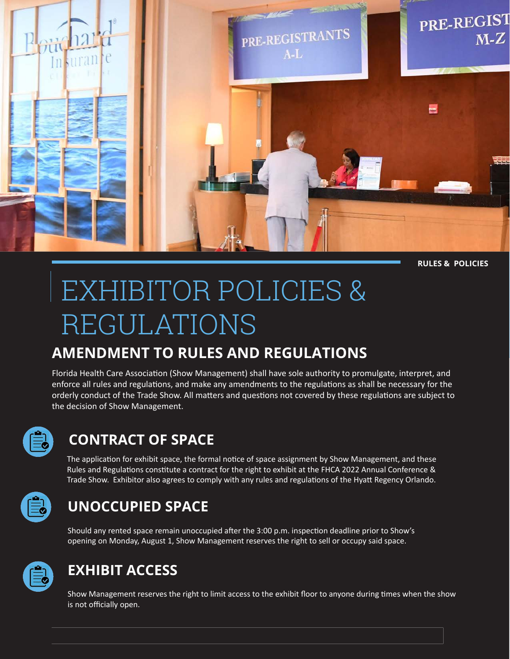

**RULES & POLICIES**

# EXHIBITOR POLICIES & REGULATIONS

#### **AMENDMENT TO RULES AND REGULATIONS**

Florida Health Care Association (Show Management) shall have sole authority to promulgate, interpret, and enforce all rules and regulations, and make any amendments to the regulations as shall be necessary for the orderly conduct of the Trade Show. All matters and questions not covered by these regulations are subject to the decision of Show Management.

| a sa Ba                                           |
|---------------------------------------------------|
| __                                                |
| ___<br>and the control of the control of<br>_____ |

#### **CONTRACT OF SPACE**

The application for exhibit space, the formal notice of space assignment by Show Management, and these Rules and Regulations constitute a contract for the right to exhibit at the FHCA 2022 Annual Conference & Trade Show. Exhibitor also agrees to comply with any rules and regulations of the Hyatt Regency Orlando.

| ____ |
|------|

#### **UNOCCUPIED SPACE**

Should any rented space remain unoccupied after the 3:00 p.m. inspection deadline prior to Show's opening on Monday, August 1, Show Management reserves the right to sell or occupy said space.



#### **EXHIBIT ACCESS**

Show Management reserves the right to limit access to the exhibit floor to anyone during times when the show is not officially open.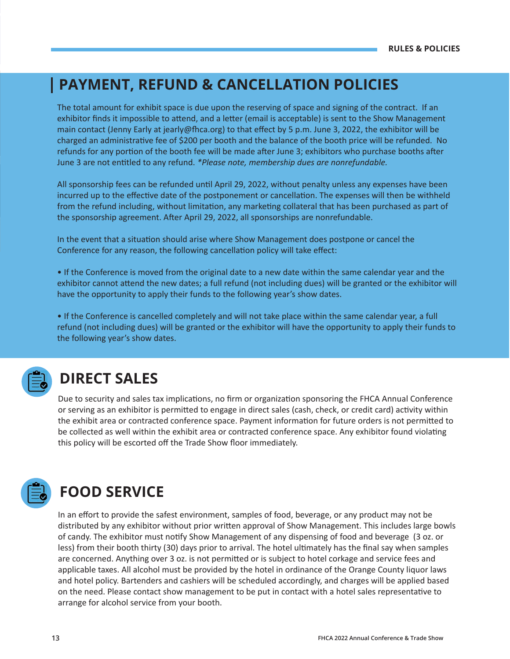#### **PAYMENT, REFUND & CANCELLATION POLICIES**

The total amount for exhibit space is due upon the reserving of space and signing of the contract. If an exhibitor finds it impossible to attend, and a letter (email is acceptable) is sent to the Show Management main contact (Jenny Early at jearly@fhca.org) to that effect by 5 p.m. June 3, 2022, the exhibitor will be charged an administrative fee of \$200 per booth and the balance of the booth price will be refunded. No refunds for any portion of the booth fee will be made after June 3; exhibitors who purchase booths after June 3 are not entitled to any refund. *\*Please note, membership dues are nonrefundable.* 

All sponsorship fees can be refunded until April 29, 2022, without penalty unless any expenses have been incurred up to the effective date of the postponement or cancellation. The expenses will then be withheld from the refund including, without limitation, any marketing collateral that has been purchased as part of the sponsorship agreement. After April 29, 2022, all sponsorships are nonrefundable.

In the event that a situation should arise where Show Management does postpone or cancel the Conference for any reason, the following cancellation policy will take effect:

• If the Conference is moved from the original date to a new date within the same calendar year and the exhibitor cannot attend the new dates; a full refund (not including dues) will be granted or the exhibitor will have the opportunity to apply their funds to the following year's show dates.

• If the Conference is cancelled completely and will not take place within the same calendar year, a full refund (not including dues) will be granted or the exhibitor will have the opportunity to apply their funds to the following year's show dates.



#### **DIRECT SALES**

Due to security and sales tax implications, no firm or organization sponsoring the FHCA Annual Conference or serving as an exhibitor is permitted to engage in direct sales (cash, check, or credit card) activity within the exhibit area or contracted conference space. Payment information for future orders is not permitted to be collected as well within the exhibit area or contracted conference space. Any exhibitor found violating this policy will be escorted off the Trade Show floor immediately.



### **FOOD SERVICE**

In an effort to provide the safest environment, samples of food, beverage, or any product may not be distributed by any exhibitor without prior written approval of Show Management. This includes large bowls of candy. The exhibitor must notify Show Management of any dispensing of food and beverage (3 oz. or less) from their booth thirty (30) days prior to arrival. The hotel ultimately has the final say when samples are concerned. Anything over 3 oz. is not permitted or is subject to hotel corkage and service fees and applicable taxes. All alcohol must be provided by the hotel in ordinance of the Orange County liquor laws and hotel policy. Bartenders and cashiers will be scheduled accordingly, and charges will be applied based on the need. Please contact show management to be put in contact with a hotel sales representative to arrange for alcohol service from your booth.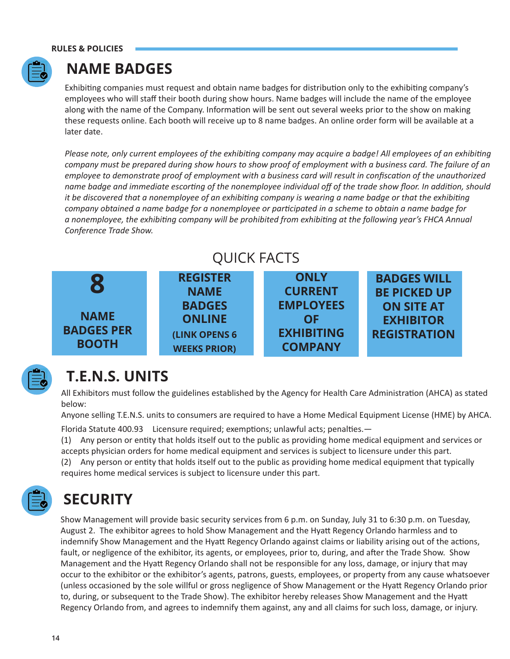

#### **NAME BADGES**

Exhibiting companies must request and obtain name badges for distribution only to the exhibiting company's employees who will staff their booth during show hours. Name badges will include the name of the employee along with the name of the Company. Information will be sent out several weeks prior to the show on making these requests online. Each booth will receive up to 8 name badges. An online order form will be available at a later date.

*Please note, only current employees of the exhibiting company may acquire a badge! All employees of an exhibiting company must be prepared during show hours to show proof of employment with a business card. The failure of an employee to demonstrate proof of employment with a business card will result in confiscation of the unauthorized name badge and immediate escorting of the nonemployee individual off of the trade show floor. In addition, should it be discovered that a nonemployee of an exhibiting company is wearing a name badge or that the exhibiting company obtained a name badge for a nonemployee or participated in a scheme to obtain a name badge for a nonemployee, the exhibiting company will be prohibited from exhibiting at the following year's FHCA Annual Conference Trade Show.* 







## **T.E.N.S. UNITS**

All Exhibitors must follow the guidelines established by the Agency for Health Care Administration (AHCA) as stated below:

Anyone selling T.E.N.S. units to consumers are required to have a Home Medical Equipment License (HME) by AHCA.

Florida Statute 400.93 Licensure required; exemptions; unlawful acts; penalties.—

(1) Any person or entity that holds itself out to the public as providing home medical equipment and services or accepts physician orders for home medical equipment and services is subject to licensure under this part.

(2) Any person or entity that holds itself out to the public as providing home medical equipment that typically requires home medical services is subject to licensure under this part.



## **SECURITY**

Show Management will provide basic security services from 6 p.m. on Sunday, July 31 to 6:30 p.m. on Tuesday, August 2. The exhibitor agrees to hold Show Management and the Hyatt Regency Orlando harmless and to indemnify Show Management and the Hyatt Regency Orlando against claims or liability arising out of the actions, fault, or negligence of the exhibitor, its agents, or employees, prior to, during, and after the Trade Show. Show Management and the Hyatt Regency Orlando shall not be responsible for any loss, damage, or injury that may occur to the exhibitor or the exhibitor's agents, patrons, guests, employees, or property from any cause whatsoever (unless occasioned by the sole willful or gross negligence of Show Management or the Hyatt Regency Orlando prior to, during, or subsequent to the Trade Show). The exhibitor hereby releases Show Management and the Hyatt Regency Orlando from, and agrees to indemnify them against, any and all claims for such loss, damage, or injury.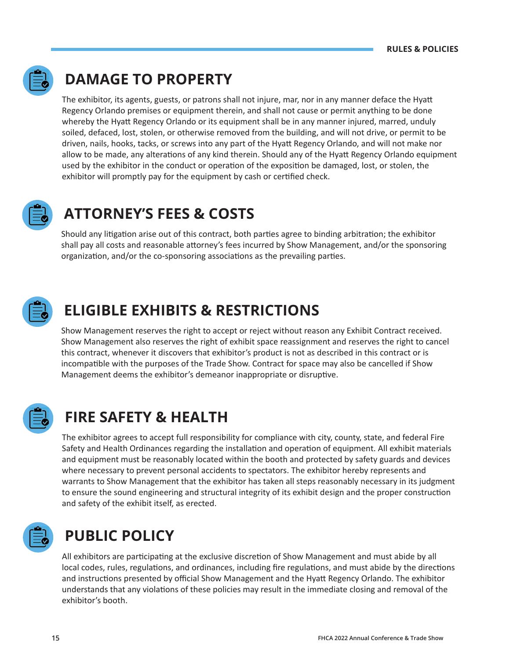

### **DAMAGE TO PROPERTY**

The exhibitor, its agents, guests, or patrons shall not injure, mar, nor in any manner deface the Hyatt Regency Orlando premises or equipment therein, and shall not cause or permit anything to be done whereby the Hyatt Regency Orlando or its equipment shall be in any manner injured, marred, unduly soiled, defaced, lost, stolen, or otherwise removed from the building, and will not drive, or permit to be driven, nails, hooks, tacks, or screws into any part of the Hyatt Regency Orlando, and will not make nor allow to be made, any alterations of any kind therein. Should any of the Hyatt Regency Orlando equipment used by the exhibitor in the conduct or operation of the exposition be damaged, lost, or stolen, the exhibitor will promptly pay for the equipment by cash or certified check.



#### **ATTORNEY'S FEES & COSTS**

Should any litigation arise out of this contract, both parties agree to binding arbitration; the exhibitor shall pay all costs and reasonable attorney's fees incurred by Show Management, and/or the sponsoring organization, and/or the co-sponsoring associations as the prevailing parties.



#### **ELIGIBLE EXHIBITS & RESTRICTIONS**

Show Management reserves the right to accept or reject without reason any Exhibit Contract received. Show Management also reserves the right of exhibit space reassignment and reserves the right to cancel this contract, whenever it discovers that exhibitor's product is not as described in this contract or is incompatible with the purposes of the Trade Show. Contract for space may also be cancelled if Show Management deems the exhibitor's demeanor inappropriate or disruptive.



### **FIRE SAFETY & HEALTH**

The exhibitor agrees to accept full responsibility for compliance with city, county, state, and federal Fire Safety and Health Ordinances regarding the installation and operation of equipment. All exhibit materials and equipment must be reasonably located within the booth and protected by safety guards and devices where necessary to prevent personal accidents to spectators. The exhibitor hereby represents and warrants to Show Management that the exhibitor has taken all steps reasonably necessary in its judgment to ensure the sound engineering and structural integrity of its exhibit design and the proper construction and safety of the exhibit itself, as erected.



### **PUBLIC POLICY**

All exhibitors are participating at the exclusive discretion of Show Management and must abide by all local codes, rules, regulations, and ordinances, including fire regulations, and must abide by the directions and instructions presented by official Show Management and the Hyatt Regency Orlando. The exhibitor understands that any violations of these policies may result in the immediate closing and removal of the exhibitor's booth.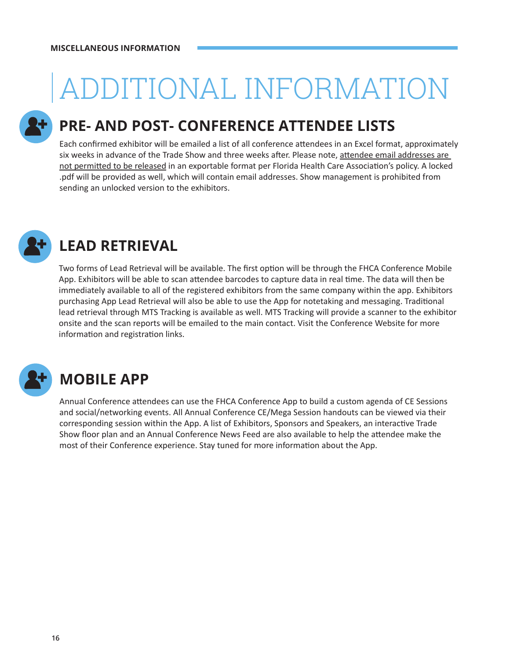# ADDITIONAL INFORMATION

### **PRE- AND POST- CONFERENCE ATTENDEE LISTS**

Each confirmed exhibitor will be emailed a list of all conference attendees in an Excel format, approximately six weeks in advance of the Trade Show and three weeks after. Please note, attendee email addresses are not permitted to be released in an exportable format per Florida Health Care Association's policy. A locked .pdf will be provided as well, which will contain email addresses. Show management is prohibited from sending an unlocked version to the exhibitors.



## **LEAD RETRIEVAL**

Two forms of Lead Retrieval will be available. The first option will be through the FHCA Conference Mobile App. Exhibitors will be able to scan attendee barcodes to capture data in real time. The data will then be immediately available to all of the registered exhibitors from the same company within the app. Exhibitors purchasing App Lead Retrieval will also be able to use the App for notetaking and messaging. Traditional lead retrieval through MTS Tracking is available as well. MTS Tracking will provide a scanner to the exhibitor onsite and the scan reports will be emailed to the main contact. Visit the Conference Website for more information and registration links.



## **MOBILE APP**

Annual Conference attendees can use the FHCA Conference App to build a custom agenda of CE Sessions and social/networking events. All Annual Conference CE/Mega Session handouts can be viewed via their corresponding session within the App. A list of Exhibitors, Sponsors and Speakers, an interactive Trade Show floor plan and an Annual Conference News Feed are also available to help the attendee make the most of their Conference experience. Stay tuned for more information about the App.